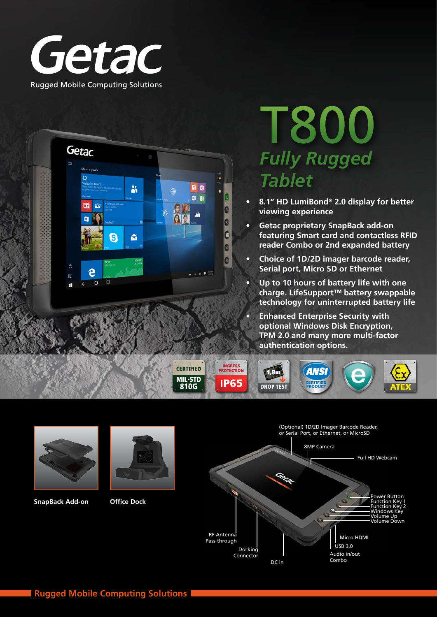



# T800 *Fully Rugged Tablet*

- **• 8.1" HD LumiBond® 2.0 display for better viewing experience**
- **• Getac proprietary SnapBack add-on featuring Smart card and contactless RFID reader Combo or 2nd expanded battery**
- **• Choice of 1D/2D imager barcode reader, Serial port, Micro SD or Ethernet**
- **• Up to 10 hours of battery life with one charge. LifeSupport™ battery swappable technology for uninterrupted battery life**

Combo

**• Enhanced Enterprise Security with optional Windows Disk Encryption, TPM 2.0 and many more multi-factor authentication options.**



DC in



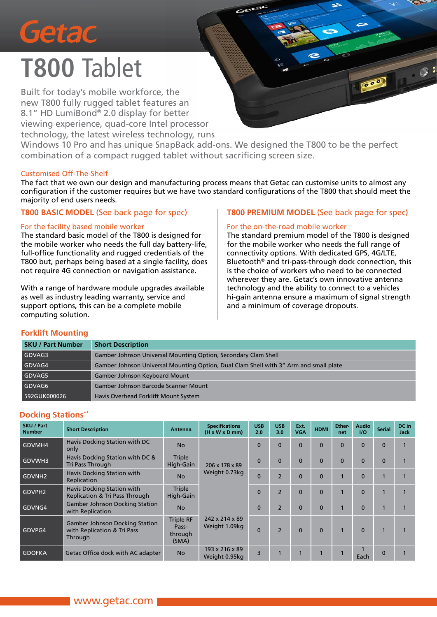

# **T800** Tablet

Built for today's mobile workforce, the new T800 fully rugged tablet features an 8.1" HD LumiBond® 2.0 display for better viewing experience, quad-core Intel processor technology, the latest wireless technology, runs

Windows 10 Pro and has unique SnapBack add-ons. We designed the T800 to be the perfect combination of a compact rugged tablet without sacrificing screen size.

#### Customised Off-The-Shelf

The fact that we own our design and manufacturing process means that Getac can customise units to almost any configuration if the customer requires but we have two standard configurations of the T800 that should meet the majority of end users needs.

#### **T800 BASIC MODEL** (See back page for spec)

#### For the facility based mobile worker

The standard basic model of the T800 is designed for the mobile worker who needs the full day battery-life, full-office functionality and rugged credentials of the T800 but, perhaps being based at a single facility, does not require 4G connection or navigation assistance.

With a range of hardware module upgrades available as well as industry leading warranty, service and support options, this can be a complete mobile computing solution.

#### **T800 PREMIUM MODEL** (See back page for spec)

#### For the on-the-road mobile worker

The standard premium model of the T800 is designed for the mobile worker who needs the full range of connectivity options. With dedicated GPS, 4G/LTE, Bluetooth® and tri-pass-through dock connection, this is the choice of workers who need to be connected wherever they are. Getac's own innovative antenna technology and the ability to connect to a vehicles hi-gain antenna ensure a maximum of signal strength and a minimum of coverage dropouts.

#### **Forklift Mounting**

| <b>SKU / Part Number</b> | <b>Short Description</b>                                                              |
|--------------------------|---------------------------------------------------------------------------------------|
| GDVAG3                   | Gamber Johnson Universal Mounting Option, Secondary Clam Shell                        |
| GDVAG4                   | Gamber Johnson Universal Mounting Option, Dual Clam Shell with 3" Arm and small plate |
| GDVAG5                   | <b>Gamber Johnson Keyboard Mount</b>                                                  |
| GDVAG6                   | Gamber Johnson Barcode Scanner Mount                                                  |
| 592GUK000026             | Havis Overhead Forklift Mount System                                                  |

#### **Docking Stations\*\***

| <b>SKU / Part</b><br><b>Number</b> | <b>Short Description</b>                                                        | Antenna                                                                    | <b>Specifications</b><br>$(H \times W \times D \text{ mm})$ | <b>USB</b><br>2.0 | <b>USB</b><br>3.0 | Ext.<br><b>VGA</b> | <b>HDMI</b> | Ether-<br>net | <b>Audio</b><br>UQ | <b>Serial</b> | DC in<br><b>Jack</b> |
|------------------------------------|---------------------------------------------------------------------------------|----------------------------------------------------------------------------|-------------------------------------------------------------|-------------------|-------------------|--------------------|-------------|---------------|--------------------|---------------|----------------------|
| GDVMH4                             | Havis Docking Station with DC<br>only                                           | <b>No</b>                                                                  |                                                             | $\Omega$          | $\Omega$          | $\Omega$           | $\Omega$    | $\Omega$      | $\Omega$           | $\Omega$      |                      |
| GDVWH3                             | Havis Docking Station with DC &<br>Tri Pass Through                             | <b>Triple</b><br>High-Gain<br>206 x 178 x 89<br>Weight 0.73kg<br><b>No</b> |                                                             | $\Omega$          | $\Omega$          | $\mathbf{0}$       | $\Omega$    | $\Omega$      | $\Omega$           |               |                      |
| GDVNH <sub>2</sub>                 | Havis Docking Station with<br>Replication                                       |                                                                            |                                                             | $\Omega$          | $\overline{2}$    | $\mathbf{0}$       | $\Omega$    |               | $\Omega$           |               |                      |
| GDVPH <sub>2</sub>                 | Havis Docking Station with<br><b>Replication &amp; Tri Pass Through</b>         | <b>Triple</b><br>High-Gain                                                 |                                                             |                   | $\overline{2}$    | $\Omega$           | $\Omega$    |               | $\Omega$           |               |                      |
| GDVNG4                             | <b>Gamber Johnson Docking Station</b><br>with Replication                       | <b>No</b>                                                                  |                                                             | $\Omega$          | $\overline{2}$    | $\Omega$           | $\Omega$    |               | $\Omega$           |               |                      |
| GDVPG4                             | <b>Gamber Johnson Docking Station</b><br>with Replication & Tri Pass<br>Through | Triple RF<br>Pass-<br>through<br>(SMA)                                     | 242 x 214 x 89<br>Weight 1.09kg                             |                   | $\overline{2}$    | $\Omega$           | $\Omega$    |               | $\Omega$           |               |                      |
| <b>GDOFKA</b>                      | Getac Office dock with AC adapter                                               | <b>No</b>                                                                  | 193 x 216 x 89<br>Weight 0.95kg                             | 3                 |                   |                    |             |               | Each               |               |                      |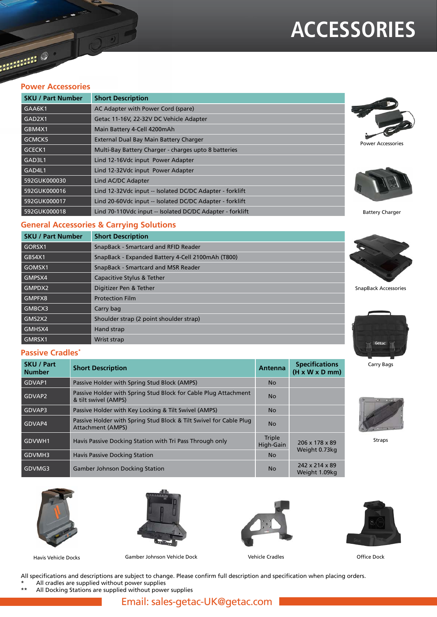### **ACCESSORIES**

**Alling O** 

#### **Power Accessories**

| <b>SKU / Part Number</b> | <b>Short Description</b>                                  |
|--------------------------|-----------------------------------------------------------|
| GAA6K1                   | AC Adapter with Power Cord (spare)                        |
| GAD2X1                   | Getac 11-16V, 22-32V DC Vehicle Adapter                   |
| GBM4X1                   | Main Battery 4-Cell 4200mAh                               |
| GCMCK5                   | External Dual Bay Main Battery Charger                    |
| GCECK1                   | Multi-Bay Battery Charger - charges upto 8 batteries      |
| GAD3L1                   | Lind 12-16Vdc input Power Adapter                         |
| GAD4L1                   | Lind 12-32Vdc input Power Adapter                         |
| 592GUK000030             | Lind AC/DC Adapter                                        |
| 592GUK000016             | Lind 12-32Vdc input -- Isolated DC/DC Adapter - forklift  |
| 592GUK000017             | Lind 20-60Vdc input -- Isolated DC/DC Adapter - forklift  |
| 592GUK000018             | Lind 70-110Vdc input -- Isolated DC/DC Adapter - forklift |





Battery Charger

#### **General Accessories & Carrying Solutions**

| <b>SKU / Part Number</b> | <b>Short Description</b>                          |                             |
|--------------------------|---------------------------------------------------|-----------------------------|
| GORSX1                   | SnapBack - Smartcard and RFID Reader              |                             |
| GBS4X1                   | SnapBack - Expanded Battery 4-Cell 2100mAh (T800) |                             |
| GOMSX1                   | SnapBack - Smartcard and MSR Reader               |                             |
| GMPSX4                   | Capacitive Stylus & Tether                        |                             |
| GMPDX2                   | Digitizer Pen & Tether                            | <b>SnapBack Accessories</b> |
| GMPFX8                   | <b>Protection Film</b>                            |                             |
| GMBCX3                   | Carry bag                                         |                             |
| GMS2X2                   | Shoulder strap (2 point shoulder strap)           |                             |
| GMHSX4                   | Hand strap                                        |                             |
| GMRSX1                   | Wrist strap                                       | Getac                       |

#### **Passive Cradles\***

| <b>SKU / Part</b><br><b>Number</b> | <b>Short Description</b>                                                                       | <b>Antenna</b>      | <b>Specifications</b><br>$(H \times W \times D \text{ mm})$ |  |
|------------------------------------|------------------------------------------------------------------------------------------------|---------------------|-------------------------------------------------------------|--|
| GDVAP1                             | Passive Holder with Spring Stud Block (AMPS)                                                   | <b>No</b>           |                                                             |  |
| GDVAP2                             | Passive Holder with Spring Stud Block for Cable Plug Attachment<br>& tilt swivel (AMPS)        | <b>No</b>           |                                                             |  |
| GDVAP3                             | Passive Holder with Key Locking & Tilt Swivel (AMPS)                                           | <b>No</b>           |                                                             |  |
| GDVAP4                             | Passive Holder with Spring Stud Block & Tilt Swivel for Cable Plug<br><b>Attachment (AMPS)</b> | <b>No</b>           |                                                             |  |
| GDVWH1                             | Havis Passive Docking Station with Tri Pass Through only                                       | Triple<br>High-Gain | 206 x 178 x 89                                              |  |
| GDVMH3                             | <b>Havis Passive Docking Station</b>                                                           | <b>No</b>           | Weight 0.73kg                                               |  |
| GDVMG3                             | <b>Gamber Johnson Docking Station</b>                                                          | <b>No</b>           | 242 x 214 x 89<br>Weight 1.09kg                             |  |





Havis Vehicle Docks Gamber Johnson Vehicle Dock Vehicle Cradles Office Dock





All specifications and descriptions are subject to change. Please confirm full description and specification when placing orders.

- 
- \* All cradles are supplied without power supplies All Docking Stations are supplied without power supplies



Carry Bags



Straps